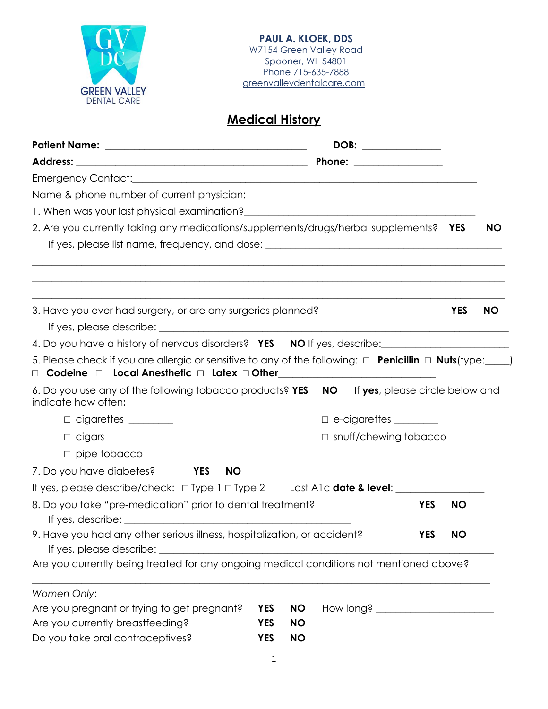

## **Medical History**

|                                                                                                                                                                      | DOB: ______________                              |            |           |
|----------------------------------------------------------------------------------------------------------------------------------------------------------------------|--------------------------------------------------|------------|-----------|
|                                                                                                                                                                      |                                                  |            |           |
|                                                                                                                                                                      |                                                  |            |           |
|                                                                                                                                                                      |                                                  |            |           |
| 1. When was your last physical examination?<br><u> and a contract contract contract control</u> and was controlled by the same of the same of the same of the same o |                                                  |            |           |
| 2. Are you currently taking any medications/supplements/drugs/herbal supplements? YES                                                                                |                                                  |            | <b>NO</b> |
|                                                                                                                                                                      |                                                  |            |           |
| 3. Have you ever had surgery, or are any surgeries planned?                                                                                                          |                                                  | <b>YES</b> | <b>NO</b> |
|                                                                                                                                                                      |                                                  |            |           |
| 4. Do you have a history of nervous disorders? YES NO If yes, describe:                                                                                              |                                                  |            |           |
| 5. Please check if you are allergic or sensitive to any of the following: $\Box$ <b>Penicillin</b> $\Box$ <b>Nuts</b> (type: $\Box$ )                                |                                                  |            |           |
| 6. Do you use any of the following tobacco products? YES NO<br>indicate how often:                                                                                   | If yes, please circle below and                  |            |           |
| $\Box$ cigarettes $\_\_\_\_\_\_\_\_\_\_\_\_$                                                                                                                         | $\Box$ e-cigarettes $\_\_\_\_\_\_\_\_\_\_\_\_\_$ |            |           |
| $\Box$ cigars                                                                                                                                                        | $\Box$ snuff/chewing tobacco $\Box$              |            |           |
| $\Box$ pipe tobacco $\_\_$                                                                                                                                           |                                                  |            |           |
| 7. Do you have diabetes? YES<br><b>NO</b>                                                                                                                            |                                                  |            |           |
| If yes, please describe/check: $\Box$ Type 1 $\Box$ Type 2 Last A1c date & level:                                                                                    |                                                  |            |           |
| 8. Do you take "pre-medication" prior to dental treatment?                                                                                                           | <b>YES</b>                                       | <b>NO</b>  |           |
| 9. Have you had any other serious illness, hospitalization, or accident?                                                                                             | <b>YES</b>                                       | <b>NO</b>  |           |
| Are you currently being treated for any ongoing medical conditions not mentioned above?                                                                              |                                                  |            |           |
| Women Only:                                                                                                                                                          |                                                  |            |           |
| Are you pregnant or trying to get pregnant?<br><b>YES</b>                                                                                                            | <b>NO</b>                                        |            |           |
| Are you currently breastfeeding?<br><b>YES</b><br><b>YES</b>                                                                                                         | <b>NO</b><br><b>NO</b>                           |            |           |
| Do you take oral contraceptives?                                                                                                                                     |                                                  |            |           |